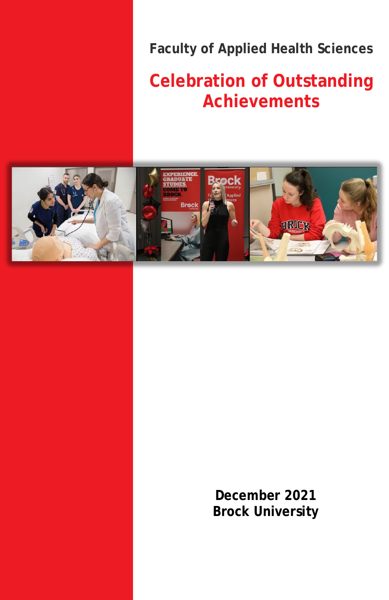**Faculty of Applied Health Sciences**

# **Celebration of Outstanding Achievements**



**December 2021 Brock University**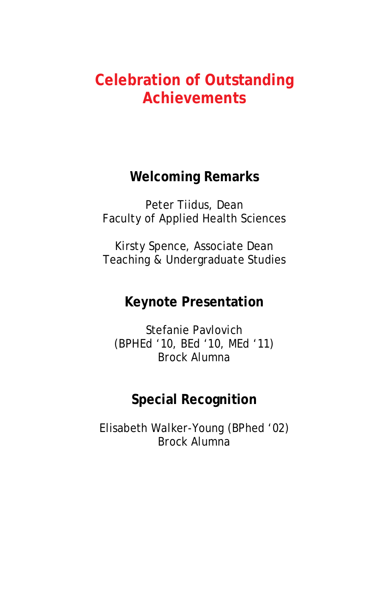### **Celebration of Outstanding Achievements**

#### **Welcoming Remarks**

Peter Tiidus, Dean Faculty of Applied Health Sciences

Kirsty Spence, Associate Dean Teaching & Undergraduate Studies

#### **Keynote Presentation**

Stefanie Pavlovich (BPHEd '10, BEd '10, MEd '11) Brock Alumna

#### **Special Recognition**

Elisabeth Walker-Young (BPhed '02) Brock Alumna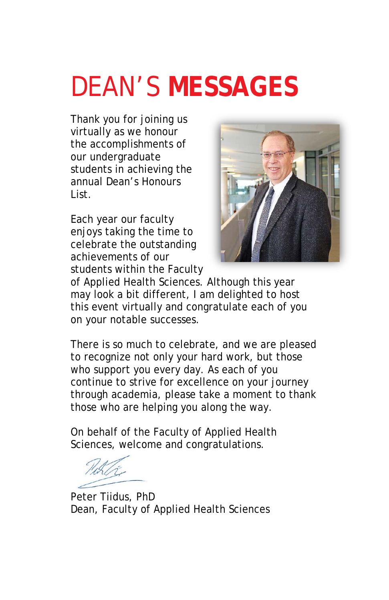# DEAN'S **MESSAGES**

Thank you for joining us virtually as we honour the accomplishments of our undergraduate students in achieving the annual Dean's Honours List.

Each year our faculty enjoys taking the time to celebrate the outstanding achievements of our students within the Faculty



of Applied Health Sciences. Although this year may look a bit different, I am delighted to host this event virtually and congratulate each of you on your notable successes.

There is so much to celebrate, and we are pleased to recognize not only your hard work, but those who support you every day. As each of you continue to strive for excellence on your journey through academia, please take a moment to thank those who are helping you along the way.

On behalf of the Faculty of Applied Health Sciences, welcome and congratulations.

Peter Tiidus, PhD Dean, Faculty of Applied Health Sciences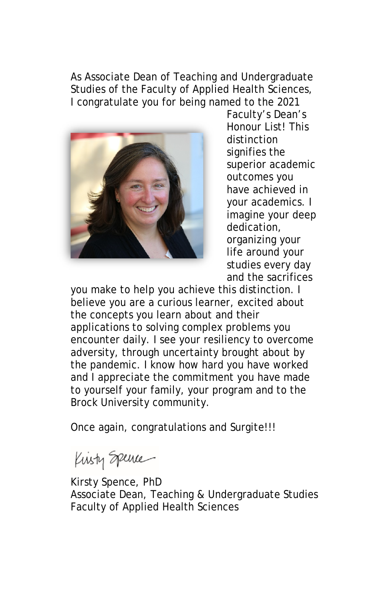As Associate Dean of Teaching and Undergraduate Studies of the Faculty of Applied Health Sciences, I congratulate you for being named to the 2021



Faculty's Dean's Honour List! This distinction signifies the superior academic outcomes you have achieved in your academics. I imagine your deep dedication, organizing your life around your studies every day and the sacrifices

you make to help you achieve this distinction. I believe you are a curious learner, excited about the concepts you learn about and their applications to solving complex problems you encounter daily. I see your resiliency to overcome adversity, through uncertainty brought about by the pandemic. I know how hard you have worked and I appreciate the commitment you have made to yourself your family, your program and to the Brock University community.

Once again, congratulations and Surgite!!!

Kisty Spence

Kirsty Spence, PhD Associate Dean, Teaching & Undergraduate Studies Faculty of Applied Health Sciences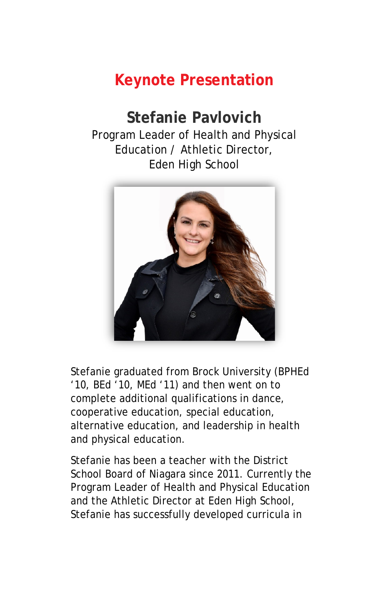## **Keynote Presentation**

#### **Stefanie Pavlovich**  Program Leader of Health and Physical Education / Athletic Director, Eden High School



Stefanie graduated from Brock University (BPHEd '10, BEd '10, MEd '11) and then went on to complete additional qualifications in dance, cooperative education, special education, alternative education, and leadership in health and physical education.

Stefanie has been a teacher with the District School Board of Niagara since 2011. Currently the Program Leader of Health and Physical Education and the Athletic Director at Eden High School, Stefanie has successfully developed curricula in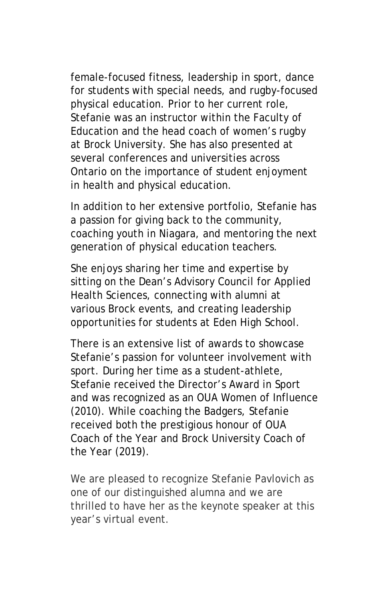female-focused fitness, leadership in sport, dance for students with special needs, and rugby-focused physical education. Prior to her current role, Stefanie was an instructor within the Faculty of Education and the head coach of women's rugby at Brock University. She has also presented at several conferences and universities across Ontario on the importance of student enjoyment in health and physical education.

In addition to her extensive portfolio, Stefanie has a passion for giving back to the community, coaching youth in Niagara, and mentoring the next generation of physical education teachers.

She enjoys sharing her time and expertise by sitting on the Dean's Advisory Council for Applied Health Sciences, connecting with alumni at various Brock events, and creating leadership opportunities for students at Eden High School.

There is an extensive list of awards to showcase Stefanie's passion for volunteer involvement with sport. During her time as a student-athlete, Stefanie received the Director's Award in Sport and was recognized as an OUA Women of Influence (2010). While coaching the Badgers, Stefanie received both the prestigious honour of OUA Coach of the Year and Brock University Coach of the Year (2019).

We are pleased to recognize Stefanie Pavlovich as one of our distinguished alumna and we are thrilled to have her as the keynote speaker at this year's virtual event.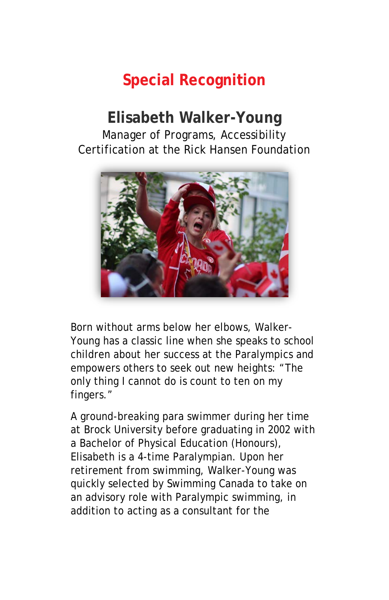## **Special Recognition**

#### **Elisabeth Walker-Young** Manager of Programs, Accessibility Certification at the Rick Hansen Foundation



Born without arms below her elbows, Walker-Young has a classic line when she speaks to school children about her success at the Paralympics and empowers others to seek out new heights: "The only thing I cannot do is count to ten on my fingers."

A ground-breaking para swimmer during her time at Brock University before graduating in 2002 with a Bachelor of Physical Education (Honours), Elisabeth is a 4-time Paralympian. Upon her retirement from swimming, Walker-Young was quickly selected by Swimming Canada to take on an advisory role with Paralympic swimming, in addition to acting as a consultant for the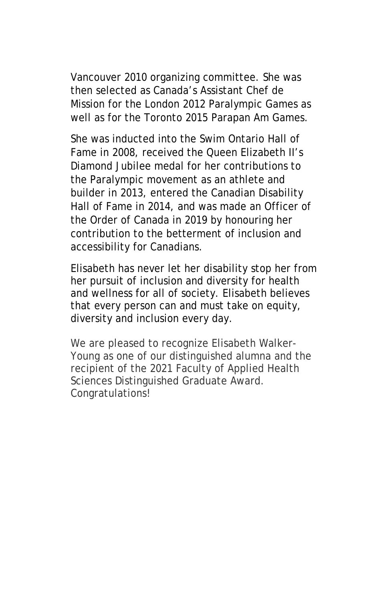Vancouver 2010 organizing committee. She was then selected as Canada's Assistant Chef de Mission for the London 2012 Paralympic Games as well as for the Toronto 2015 Parapan Am Games.

She was inducted into the Swim Ontario Hall of Fame in 2008, received the Queen Elizabeth II's Diamond Jubilee medal for her contributions to the Paralympic movement as an athlete and builder in 2013, entered the Canadian Disability Hall of Fame in 2014, and was made an Officer of the Order of Canada in 2019 by honouring her contribution to the betterment of inclusion and accessibility for Canadians.

Elisabeth has never let her disability stop her from her pursuit of inclusion and diversity for health and wellness for all of society. Elisabeth believes that every person can and must take on equity, diversity and inclusion every day.

We are pleased to recognize Elisabeth Walker-Young as one of our distinguished alumna and the recipient of the 2021 Faculty of Applied Health Sciences Distinguished Graduate Award. Congratulations!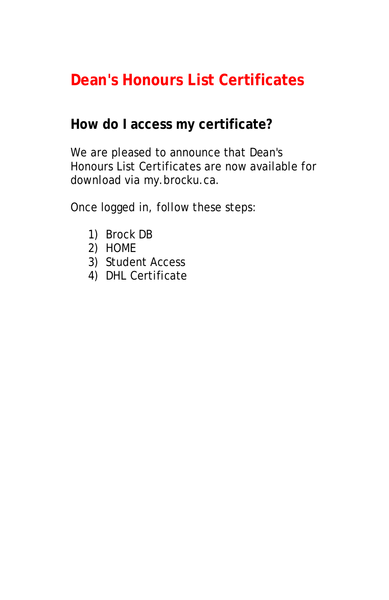## **Dean's Honours List Certificates**

#### **How do I access my certificate?**

We are pleased to announce that Dean's Honours List Certificates are now available for download via my.brocku.ca.

Once logged in, follow these steps:

- 1) Brock DB
- 2) HOME
- 3) Student Access
- 4) DHL Certificate